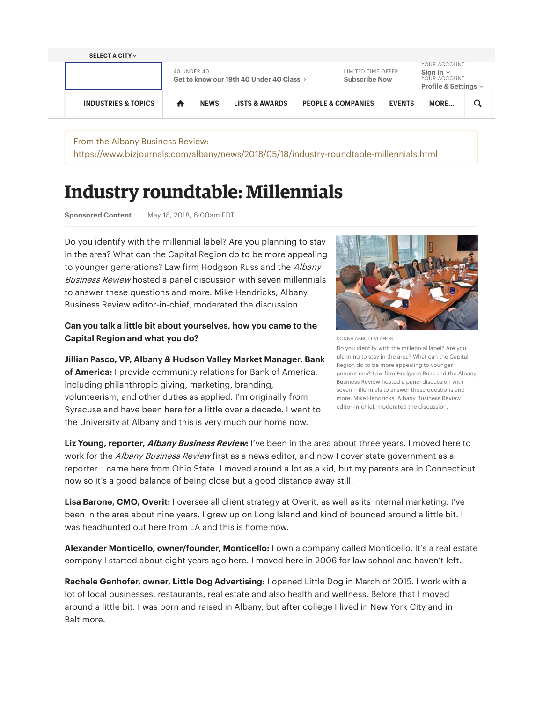

From the Albany Business Review: https://www.bizjournals.com/albany/news/2018/05/18/industry-roundtable-millennials.html

# Industry roundtable: Millennials

**Sponsored Content** May 18, 2018, 6:00am EDT

Do you identify with the millennial label? Are you planning to stay in the area? What can the Capital Region do to be more appealing to younger generations? Law firm Hodgson Russ and the Albany Business Review hosted a panel discussion with seven millennials to answer these questions and more. Mike Hendricks, Albany Business Review editor-in-chief, moderated the discussion.

## **Can you talk a little bit about yourselves, how you came to the Capital Region and what you do?**

**Jillian Pasco, VP, Albany & Hudson Valley Market Manager, Bank of America:** I provide community relations for Bank of America, including philanthropic giving, marketing, branding, volunteerism, and other duties as applied. I'm originally from Syracuse and have been here for a little over a decade. I went to the University at Albany and this is very much our home now.



DONNA ABBOTT-VLAHOS

Do you identify with the millennial label? Are you planning to stay in the area? What can the Capital Region do to be more appealing to younger generations? Law firm Hodgson Russ and the Albany Business Review hosted a panel discussion with seven millennials to answer these questions and more. Mike Hendricks, Albany Business Review editor-in-chief, moderated the discussion.

**Liz Young, reporter, Albany Business Review:** I've been in the area about three years. I moved here to work for the Albany Business Review first as a news editor, and now I cover state government as a reporter. I came here from Ohio State. I moved around a lot as a kid, but my parents are in Connecticut now so it's a good balance of being close but a good distance away still.

**Lisa Barone, CMO, Overit:** I oversee all client strategy at Overit, as well as its internal marketing. I've been in the area about nine years. I grew up on Long Island and kind of bounced around a little bit. I was headhunted out here from LA and this is home now.

**Alexander Monticello, owner/founder, Monticello:** I own a company called Monticello. It's a real estate company I started about eight years ago here. I moved here in 2006 for law school and haven't left.

**Rachele Genhofer, owner, Little Dog Advertising:** I opened Little Dog in March of 2015. I work with a lot of local businesses, restaurants, real estate and also health and wellness. Before that I moved around a little bit. I was born and raised in Albany, but after college I lived in New York City and in Baltimore.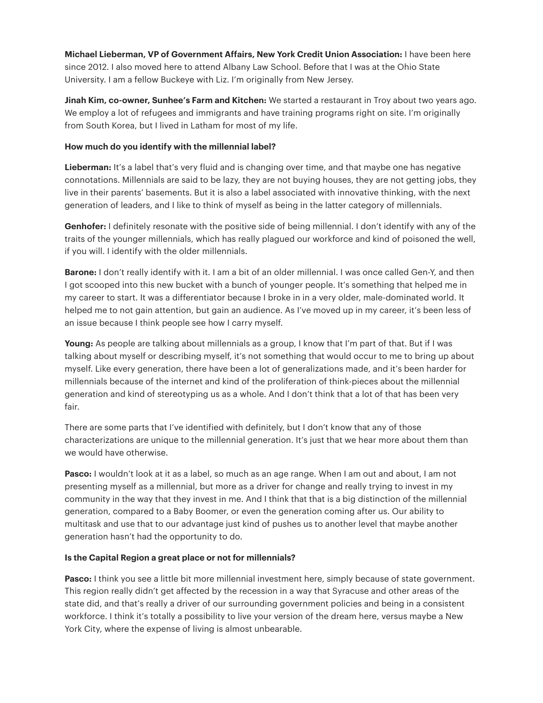**Michael Lieberman, VP of Government Affairs, New York Credit Union Association:** I have been here since 2012. I also moved here to attend Albany Law School. Before that I was at the Ohio State University. I am a fellow Buckeye with Liz. I'm originally from New Jersey.

**Jinah Kim, co-owner, Sunhee's Farm and Kitchen:** We started a restaurant in Troy about two years ago. We employ a lot of refugees and immigrants and have training programs right on site. I'm originally from South Korea, but I lived in Latham for most of my life.

#### **How much do you identify with the millennial label?**

**Lieberman:** It's a label that's very fluid and is changing over time, and that maybe one has negative connotations. Millennials are said to be lazy, they are not buying houses, they are not getting jobs, they live in their parents' basements. But it is also a label associated with innovative thinking, with the next generation of leaders, and I like to think of myself as being in the latter category of millennials.

**Genhofer:** I definitely resonate with the positive side of being millennial. I don't identify with any of the traits of the younger millennials, which has really plagued our workforce and kind of poisoned the well, if you will. I identify with the older millennials.

**Barone:** I don't really identify with it. I am a bit of an older millennial. I was once called Gen-Y, and then I got scooped into this new bucket with a bunch of younger people. It's something that helped me in my career to start. It was a differentiator because I broke in in a very older, male-dominated world. It helped me to not gain attention, but gain an audience. As I've moved up in my career, it's been less of an issue because I think people see how I carry myself.

**Young:** As people are talking about millennials as a group, I know that I'm part of that. But if I was talking about myself or describing myself, it's not something that would occur to me to bring up about myself. Like every generation, there have been a lot of generalizations made, and it's been harder for millennials because of the internet and kind of the proliferation of think-pieces about the millennial generation and kind of stereotyping us as a whole. And I don't think that a lot of that has been very fair.

There are some parts that I've identified with definitely, but I don't know that any of those characterizations are unique to the millennial generation. It's just that we hear more about them than we would have otherwise.

**Pasco:** I wouldn't look at it as a label, so much as an age range. When I am out and about, I am not presenting myself as a millennial, but more as a driver for change and really trying to invest in my community in the way that they invest in me. And I think that that is a big distinction of the millennial generation, compared to a Baby Boomer, or even the generation coming after us. Our ability to multitask and use that to our advantage just kind of pushes us to another level that maybe another generation hasn't had the opportunity to do.

#### **Is the Capital Region a great place or not for millennials?**

**Pasco:** I think you see a little bit more millennial investment here, simply because of state government. This region really didn't get affected by the recession in a way that Syracuse and other areas of the state did, and that's really a driver of our surrounding government policies and being in a consistent workforce. I think it's totally a possibility to live your version of the dream here, versus maybe a New York City, where the expense of living is almost unbearable.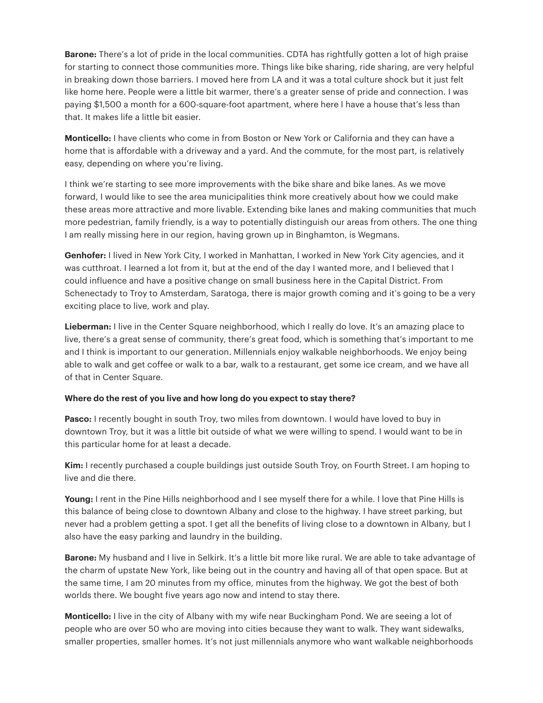**Barone:** There's a lot of pride in the local communities. CDTA has rightfully gotten a lot of high praise for starting to connect those communities more. Things like bike sharing, ride sharing, are very helpful in breaking down those barriers. I moved here from LA and it was a total culture shock but it just felt like home here. People were a little bit warmer, there's a greater sense of pride and connection. I was paying \$1,500 a month for a 600-square-foot apartment, where here I have a house that's less than that. It makes life a little bit easier.

**Monticello:** I have clients who come in from Boston or New York or California and they can have a home that is affordable with a driveway and a yard. And the commute, for the most part, is relatively easy, depending on where you're living.

I think we're starting to see more improvements with the bike share and bike lanes. As we move forward, I would like to see the area municipalities think more creatively about how we could make these areas more attractive and more livable. Extending bike lanes and making communities that much more pedestrian, family friendly, is a way to potentially distinguish our areas from others. The one thing I am really missing here in our region, having grown up in Binghamton, is Wegmans.

**Genhofer:** I lived in New York City, I worked in Manhattan, I worked in New York City agencies, and it was cutthroat. I learned a lot from it, but at the end of the day I wanted more, and I believed that I could influence and have a positive change on small business here in the Capital District. From Schenectady to Troy to Amsterdam, Saratoga, there is major growth coming and it's going to be a very exciting place to live, work and play.

**Lieberman:** I live in the Center Square neighborhood, which I really do love. It's an amazing place to live, there's a great sense of community, there's great food, which is something that's important to me and I think is important to our generation. Millennials enjoy walkable neighborhoods. We enjoy being able to walk and get coffee or walk to a bar, walk to a restaurant, get some ice cream, and we have all of that in Center Square.

#### **Where do the rest of you live and how long do you expect to stay there?**

**Pasco:** I recently bought in south Troy, two miles from downtown. I would have loved to buy in downtown Troy, but it was a little bit outside of what we were willing to spend. I would want to be in this particular home for at least a decade.

**Kim:** I recently purchased a couple buildings just outside South Troy, on Fourth Street. I am hoping to live and die there.

**Young:** I rent in the Pine Hills neighborhood and I see myself there for a while. I love that Pine Hills is this balance of being close to downtown Albany and close to the highway. I have street parking, but never had a problem getting a spot. I get all the benefits of living close to a downtown in Albany, but I also have the easy parking and laundry in the building.

**Barone:** My husband and I live in Selkirk. It's a little bit more like rural. We are able to take advantage of the charm of upstate New York, like being out in the country and having all of that open space. But at the same time, I am 20 minutes from my office, minutes from the highway. We got the best of both worlds there. We bought five years ago now and intend to stay there.

**Monticello:** I live in the city of Albany with my wife near Buckingham Pond. We are seeing a lot of people who are over 50 who are moving into cities because they want to walk. They want sidewalks, smaller properties, smaller homes. It's not just millennials anymore who want walkable neighborhoods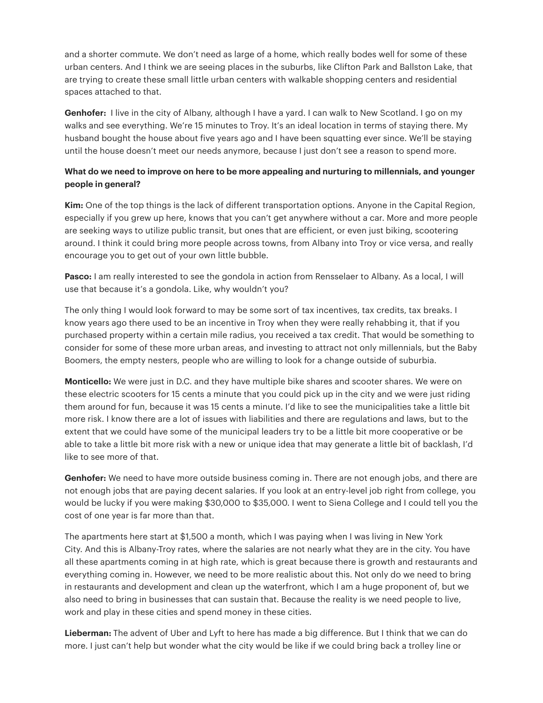and a shorter commute. We don't need as large of a home, which really bodes well for some of these urban centers. And I think we are seeing places in the suburbs, like Clifton Park and Ballston Lake, that are trying to create these small little urban centers with walkable shopping centers and residential spaces attached to that.

**Genhofer:** I live in the city of Albany, although I have a yard. I can walk to New Scotland. I go on my walks and see everything. We're 15 minutes to Troy. It's an ideal location in terms of staying there. My husband bought the house about five years ago and I have been squatting ever since. We'll be staying until the house doesn't meet our needs anymore, because I just don't see a reason to spend more.

# **What do we need to improve on here to be more appealing and nurturing to millennials, and younger people in general?**

**Kim:** One of the top things is the lack of different transportation options. Anyone in the Capital Region, especially if you grew up here, knows that you can't get anywhere without a car. More and more people are seeking ways to utilize public transit, but ones that are efficient, or even just biking, scootering around. I think it could bring more people across towns, from Albany into Troy or vice versa, and really encourage you to get out of your own little bubble.

**Pasco:** I am really interested to see the gondola in action from Rensselaer to Albany. As a local, I will use that because it's a gondola. Like, why wouldn't you?

The only thing I would look forward to may be some sort of tax incentives, tax credits, tax breaks. I know years ago there used to be an incentive in Troy when they were really rehabbing it, that if you purchased property within a certain mile radius, you received a tax credit. That would be something to consider for some of these more urban areas, and investing to attract not only millennials, but the Baby Boomers, the empty nesters, people who are willing to look for a change outside of suburbia.

**Monticello:** We were just in D.C. and they have multiple bike shares and scooter shares. We were on these electric scooters for 15 cents a minute that you could pick up in the city and we were just riding them around for fun, because it was 15 cents a minute. I'd like to see the municipalities take a little bit more risk. I know there are a lot of issues with liabilities and there are regulations and laws, but to the extent that we could have some of the municipal leaders try to be a little bit more cooperative or be able to take a little bit more risk with a new or unique idea that may generate a little bit of backlash, I'd like to see more of that.

**Genhofer:** We need to have more outside business coming in. There are not enough jobs, and there are not enough jobs that are paying decent salaries. If you look at an entry-level job right from college, you would be lucky if you were making \$30,000 to \$35,000. I went to Siena College and I could tell you the cost of one year is far more than that.

The apartments here start at \$1,500 a month, which I was paying when I was living in New York City. And this is Albany-Troy rates, where the salaries are not nearly what they are in the city. You have all these apartments coming in at high rate, which is great because there is growth and restaurants and everything coming in. However, we need to be more realistic about this. Not only do we need to bring in restaurants and development and clean up the waterfront, which I am a huge proponent of, but we also need to bring in businesses that can sustain that. Because the reality is we need people to live, work and play in these cities and spend money in these cities.

**Lieberman:** The advent of Uber and Lyft to here has made a big difference. But I think that we can do more. I just can't help but wonder what the city would be like if we could bring back a trolley line or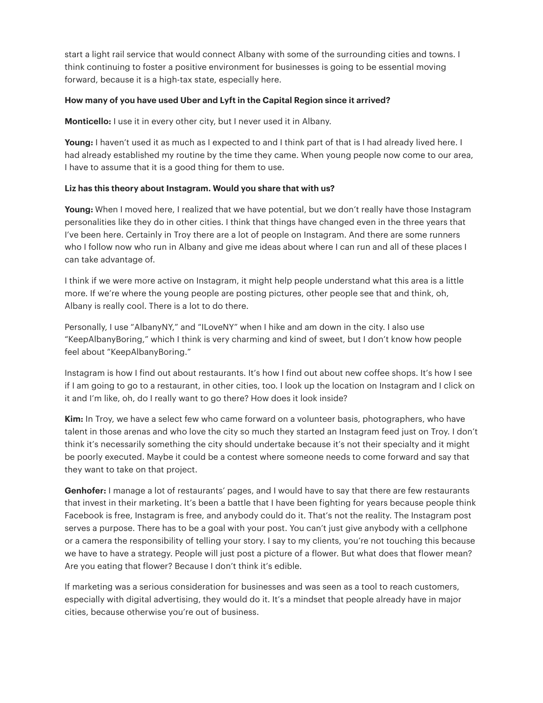start a light rail service that would connect Albany with some of the surrounding cities and towns. I think continuing to foster a positive environment for businesses is going to be essential moving forward, because it is a high-tax state, especially here.

### **How many of you have used Uber and Lyft in the Capital Region since it arrived?**

**Monticello:** I use it in every other city, but I never used it in Albany.

Young: I haven't used it as much as I expected to and I think part of that is I had already lived here. I had already established my routine by the time they came. When young people now come to our area, I have to assume that it is a good thing for them to use.

### **Liz has this theory about Instagram. Would you share that with us?**

Young: When I moved here, I realized that we have potential, but we don't really have those Instagram personalities like they do in other cities. I think that things have changed even in the three years that I've been here. Certainly in Troy there are a lot of people on Instagram. And there are some runners who I follow now who run in Albany and give me ideas about where I can run and all of these places I can take advantage of.

I think if we were more active on Instagram, it might help people understand what this area is a little more. If we're where the young people are posting pictures, other people see that and think, oh, Albany is really cool. There is a lot to do there.

Personally, I use "AlbanyNY," and "ILoveNY" when I hike and am down in the city. I also use "KeepAlbanyBoring," which I think is very charming and kind of sweet, but I don't know how people feel about "KeepAlbanyBoring."

Instagram is how I find out about restaurants. It's how I find out about new coffee shops. It's how I see if I am going to go to a restaurant, in other cities, too. I look up the location on Instagram and I click on it and I'm like, oh, do I really want to go there? How does it look inside?

**Kim:** In Troy, we have a select few who came forward on a volunteer basis, photographers, who have talent in those arenas and who love the city so much they started an Instagram feed just on Troy. I don't think it's necessarily something the city should undertake because it's not their specialty and it might be poorly executed. Maybe it could be a contest where someone needs to come forward and say that they want to take on that project.

**Genhofer:** I manage a lot of restaurants' pages, and I would have to say that there are few restaurants that invest in their marketing. It's been a battle that I have been fighting for years because people think Facebook is free, Instagram is free, and anybody could do it. That's not the reality. The Instagram post serves a purpose. There has to be a goal with your post. You can't just give anybody with a cellphone or a camera the responsibility of telling your story. I say to my clients, you're not touching this because we have to have a strategy. People will just post a picture of a flower. But what does that flower mean? Are you eating that flower? Because I don't think it's edible.

If marketing was a serious consideration for businesses and was seen as a tool to reach customers, especially with digital advertising, they would do it. It's a mindset that people already have in major cities, because otherwise you're out of business.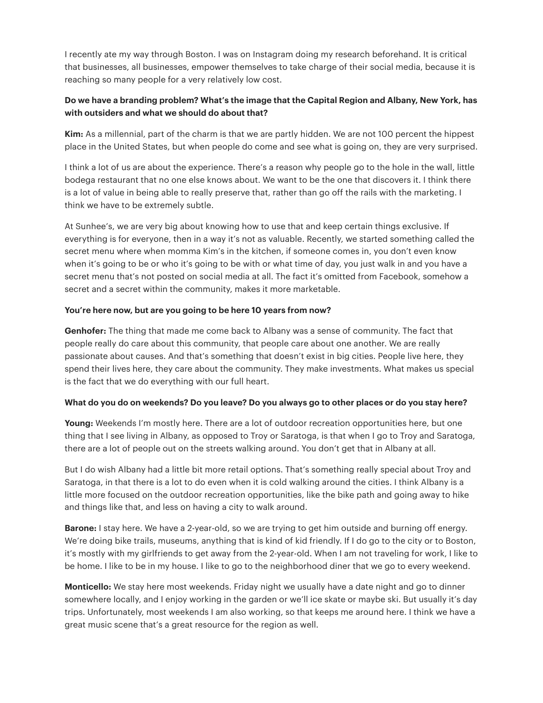I recently ate my way through Boston. I was on Instagram doing my research beforehand. It is critical that businesses, all businesses, empower themselves to take charge of their social media, because it is reaching so many people for a very relatively low cost.

# Do we have a branding problem? What's the image that the Capital Region and Albany, New York, has with outsiders and what we should do about that?

Kim: As a millennial, part of the charm is that we are partly hidden. We are not 100 percent the hippest place in the United States, but when people do come and see what is going on, they are very surprised.

I think a lot of us are about the experience. There's a reason why people go to the hole in the wall, little bodega restaurant that no one else knows about. We want to be the one that discovers it. I think there is a lot of value in being able to really preserve that, rather than go off the rails with the marketing. I think we have to be extremely subtle.

At Sunhee's, we are very big about knowing how to use that and keep certain things exclusive. If everything is for everyone, then in a way it's not as valuable. Recently, we started something called the secret menu where when momma Kim's in the kitchen, if someone comes in, you don't even know when it's going to be or who it's going to be with or what time of day, you just walk in and you have a secret menu that's not posted on social media at all. The fact it's omitted from Facebook, somehow a secret and a secret within the community, makes it more marketable.

### You're here now, but are you going to be here 10 years from now?

Genhofer: The thing that made me come back to Albany was a sense of community. The fact that people really do care about this community, that people care about one another. We are really passionate about causes. And that's something that doesn't exist in big cities. People live here, they spend their lives here, they care about the community. They make investments. What makes us special is the fact that we do everything with our full heart.

### What do you do on weekends? Do you leave? Do you always go to other places or do you stay here?

Young: Weekends I'm mostly here. There are a lot of outdoor recreation opportunities here, but one thing that I see living in Albany, as opposed to Troy or Saratoga, is that when I go to Troy and Saratoga, there are a lot of people out on the streets walking around. You don't get that in Albany at all.

But I do wish Albany had a little bit more retail options. That's something really special about Troy and Saratoga, in that there is a lot to do even when it is cold walking around the cities. I think Albany is a little more focused on the outdoor recreation opportunities, like the bike path and going away to hike and things like that, and less on having a city to walk around.

**Barone:** I stay here. We have a 2-year-old, so we are trying to get him outside and burning off energy. We're doing bike trails, museums, anything that is kind of kid friendly. If I do go to the city or to Boston, it's mostly with my girlfriends to get away from the 2-year-old. When I am not traveling for work, I like to be home. I like to be in my house. I like to go to the neighborhood diner that we go to every weekend.

**Monticello:** We stay here most weekends. Friday night we usually have a date night and go to dinner somewhere locally, and I enjoy working in the garden or we'll ice skate or maybe ski. But usually it's day trips. Unfortunately, most weekends I am also working, so that keeps me around here. I think we have a great music scene that's a great resource for the region as well.